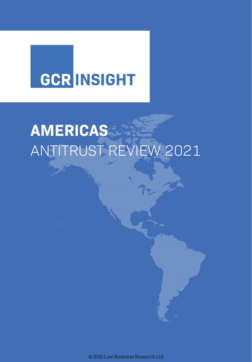# **GCR INSIGHT**

# **AMERICAS** ANTITRUST REVIEW 2021

© 2020 Law Business Research Ltd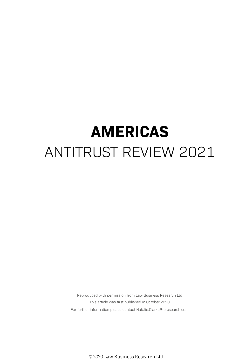## **AMERICAS** ANTITRUST REVIEW 2021

Reproduced with permission from Law Business Research Ltd This article was first published in October 2020 For further information please contact Natalie.Clarke@lbresearch.com

© 2020 Law Business Research Ltd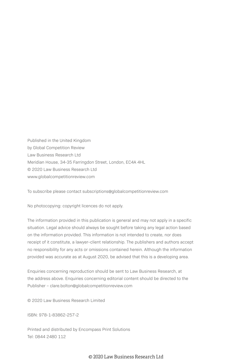Published in the United Kingdom by Global Competition Review Law Business Research Ltd Meridian House, 34-35 Farringdon Street, London, EC4A 4HL © 2020 Law Business Research Ltd www.globalcompetitionreview.com

To subscribe please contact subscriptions@globalcompetitionreview.com

No photocopying: copyright licences do not apply.

The information provided in this publication is general and may not apply in a specific situation. Legal advice should always be sought before taking any legal action based on the information provided. This information is not intended to create, nor does receipt of it constitute, a lawyer–client relationship. The publishers and authors accept no responsibility for any acts or omissions contained herein. Although the information provided was accurate as at August 2020, be advised that this is a developing area.

Enquiries concerning reproduction should be sent to Law Business Research, at the address above. Enquiries concerning editorial content should be directed to the Publisher – clare.bolton@globalcompetitionreview.com

© 2020 Law Business Research Limited

ISBN: 978-1-83862-257-2

Printed and distributed by Encompass Print Solutions Tel: 0844 2480 112

#### © 2020 Law Business Research Ltd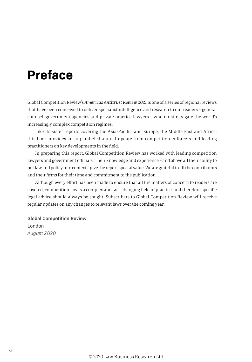### **Preface**

Global Competition Review's *Americas Antitrust Review 2021* is one of a series of regional reviews that have been conceived to deliver specialist intelligence and research to our readers – general counsel, government agencies and private practice lawyers – who must navigate the world's increasingly complex competition regimes.

Like its sister reports covering the Asia-Pacific, and Europe, the Middle East and Africa, this book provides an unparalleled annual update from competition enforcers and leading practitioners on key developments in the field.

In preparing this report, Global Competition Review has worked with leading competition lawyers and government officials. Their knowledge and experience – and above all their ability to put law and policy into context – give the report special value. We are grateful to all the contributors and their firms for their time and commitment to the publication.

Although every effort has been made to ensure that all the matters of concern to readers are covered, competition law is a complex and fast-changing field of practice, and therefore specific legal advice should always be sought. Subscribers to Global Competition Review will receive regular updates on any changes to relevant laws over the coming year.

**Global Competition Review** London *August 2020*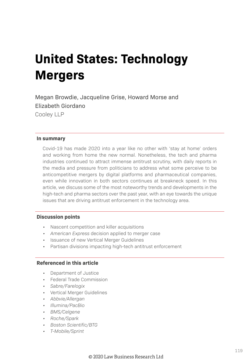### **United States: Technology Mergers**

Megan Browdie, Jacqueline Grise, Howard Morse and Elizabeth Giordano Cooley LLP

#### **In summary**

Covid-19 has made 2020 into a year like no other with 'stay at home' orders and working from home the new normal. Nonetheless, the tech and pharma industries continued to attract immense antitrust scrutiny, with daily reports in the media and pressure from politicians to address what some perceive to be anticompetitive mergers by digital platforms and pharmaceutical companies, even while innovation in both sectors continues at breakneck speed. In this article, we discuss some of the most noteworthy trends and developments in the high-tech and pharma sectors over the past year, with an eye towards the unique issues that are driving antitrust enforcement in the technology area.

#### **Discussion points**

- Nascent competition and killer acquisitions
- *• American Express* decision applied to merger case
- Issuance of new Vertical Merger Guidelines
- Partisan divisions impacting high-tech antitrust enforcement

#### **Referenced in this article**

- Department of Justice
- Federal Trade Commission
- *• Sabre/Farelogix*
- Vertical Merger Guidelines
- *• Abbvie/Allergan*
- *• Illumina/PacBio*
- *• BMS/Celgene*
- *• Roche/Spark*
- *• Boston Scientific/BTG*
- *• T-Mobile/Sprint*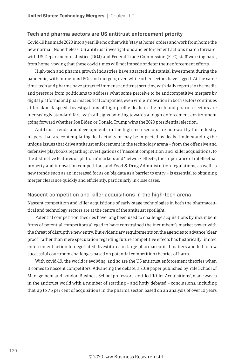#### **Tech and pharma sectors are US antitrust enforcement priority**

Covid-19 has made 2020 into a year like no other with 'stay at home' orders and work from home the new normal. Nonetheless, US antitrust investigations and enforcement actions march forward, with US Department of Justice (DOJ) and Federal Trade Commission (FTC) staff working hard, from home, vowing that these covid times will not impede or deter their enforcement efforts.

High-tech and pharma growth industries have attracted substantial investment during the pandemic, with numerous IPOs and mergers, even while other sectors have lagged. At the same time, tech and pharma have attracted immense antitrust scrutiny, with daily reports in the media and pressure from politicians to address what some perceive to be anticompetitive mergers by digital platforms and pharmaceutical companies, even while innovation in both sectors continues at breakneck speed. Investigations of high-profile deals in the tech and pharma sectors are increasingly standard fare, with all signs pointing towards a tough enforcement environment going forward whether Joe Biden or Donald Trump wins the 2020 presidential election.

Antitrust trends and developments in the high-tech sectors are noteworthy for industry players that are contemplating deal activity or may be impacted by deals. Understanding the unique issues that drive antitrust enforcement in the technology arena – from the offensive and defensive playbooks regarding investigations of 'nascent competition' and 'killer acquisitions', to the distinctive features of 'platform' markets and 'network effects', the importance of intellectual property and innovation competition, and Food & Drug Administration regulations, as well as new trends such as an increased focus on big data as a barrier to entry – is essential to obtaining merger clearance quickly and efficiently, particularly in close cases.

#### Nascent competition and killer acquisitions in the high-tech arena

Nascent competition and killer acquisitions of early-stage technologies in both the pharmaceutical and technology sectors are at the centre of the antitrust spotlight.

Potential competition theories have long been used to challenge acquisitions by incumbent firms of potential competitors alleged to have constrained the incumbent's market power with the threat of disruptive new entry. But evidentiary requirements on the agencies to advance 'clear proof ' rather than mere speculation regarding future competitive effects has historically limited enforcement action to negotiated divestitures in large pharmaceutical matters and led to few successful courtroom challenges based on potential competition theories of harm.

With covid-19, the world is evolving, and so are the US antitrust enforcement theories when it comes to nascent competitors. Advancing the debate, a 2018 paper published by Yale School of Management and London Business School professors, entitled 'Killer Acquisitions', made waves in the antitrust world with a number of startling – and hotly debated – conclusions, including that up to 7.5 per cent of acquisitions in the pharma sector, based on an analysis of over 10 years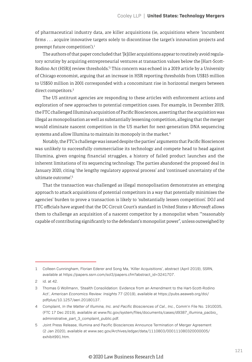of pharmaceutical industry data, are killer acquisitions (ie, acquisitions where 'incumbent firms . . . acquire innovative targets solely to discontinue the target's innovation projects and preempt future competition').<sup>1</sup>

The authors of that paper concluded that '[k]iller acquisitions appear to routinely avoid regulatory scrutiny by acquiring entrepreneurial ventures at transaction values below the [Hart-Scott-Rodino Act (HSR)] review thresholds.'2 This concern was echoed in a 2019 article by a University of Chicago economist, arguing that an increase in HSR reporting thresholds from US\$15 million to US\$50 million in 2001 corresponded with a concomitant rise in horizontal mergers between direct competitors.3

The US antitrust agencies are responding to these articles with enforcement actions and exploration of new approaches to potential competition cases. For example, in December 2019, the FTC challenged Illumina's acquisition of Pacific Biosciences, asserting that the acquisition was illegal as monopolisation as well as substantially lessening competition, alleging that the merger would eliminate nascent competition in the US market for next-generation DNA sequencing systems and allow Illumina to maintain its monopoly in the market.<sup>4</sup>

Notably, the FTC's challenge was issued despite the parties' arguments that Pacific Biosciences was unlikely to successfully commercialise its technology and compete head to head against Illumina, given ongoing financial struggles, a history of failed product launches and the inherent limitations of its sequencing technology. The parties abandoned the proposed deal in January 2020, citing 'the lengthy regulatory approval process' and 'continued uncertainty of the ultimate outcome'.<sup>5</sup>

That the transaction was challenged as illegal monopolisation demonstrates an emerging approach to attack acquisitions of potential competitors in a way that potentially minimises the agencies' burden to prove a transaction is likely to 'substantially lessen competition'. DOJ and FTC officials have argued that the DC Circuit Court's standard in *United States v Microsoft* allows them to challenge an acquisition of a nascent competitor by a monopolist when '"reasonably capable of contributing significantly to the defendant's monopolist power", unless outweighed by

<sup>1</sup> Colleen Cunningham, Florian Ederer and Song Ma, 'Killer Acquisitions', abstract (April 2019), SSRN, available at https://papers.ssrn.com/sol3/papers.cfm?abstract\_id=3241707.

<sup>2</sup> id. at 42.

<sup>3</sup> Thomas G Wollmann, 'Stealth Consolidation: Evidence from an Amendment to the Hart-Scott-Rodino Act', *American Economics Review: Insights* 77 (2019), available at https://pubs.aeaweb.org/doi/ pdfplus/10.1257/aeri.20180137.

<sup>4</sup> Complaint, *In the Matter of Illumina, Inc. and Pacific Biosciences of Cal., Inc.*, Comm'n File No. 1910035, (FTC 17 Dec 2019), available at www.ftc.gov/system/files/documents/cases/d9387\_illumina\_pacbio\_ administrative\_part\_3\_complaint\_public.pdf.

<sup>5</sup> Joint Press Release, Illumina and Pacific Biosciences Announce Termination of Merger Agreement (2 Jan 2020), available at www.sec.gov/Archives/edgar/data/1110803/000111080320000005/ exhibit991.htm.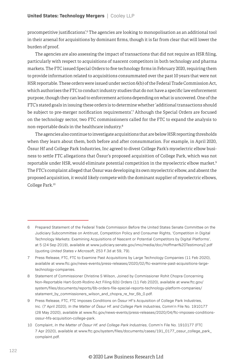procompetitive justifications'.<sup>6</sup> The agencies are looking to monopolisation as an additional tool in their arsenal for acquisitions by dominant firms, though it is far from clear that will lower the burden of proof.

The agencies are also assessing the impact of transactions that did not require an HSR filing, particularly with respect to acquisitions of nascent competitors in both technology and pharma markets. The FTC issued Special Orders to five technology firms in February 2020, requiring them to provide information related to acquisitions consummated over the past 10 years that were not HSR reportable. These orders were issued under section 6(b) of the Federal Trade Commission Act, which authorises the FTC to conduct industry studies that do not have a specific law enforcement purpose, though they can lead to enforcement actions depending on what is uncovered. One of the FTC's stated goals in issuing these orders is to determine whether 'additional transactions should be subject to pre-merger notification requirements'.7 Although the Special Orders are focused on the technology sector, two FTC commissioners called for the FTC to expand the analysis to non-reportable deals in the healthcare industry.8

The agencies also continue to investigate acquisitions that are below HSR reporting thresholds when they learn about them, both before and after consummation. For example, in April 2020, Össur Hf and College Park Industries, Inc agreed to divest College Park's myoelectric elbow business to settle FTC allegations that Össur's proposed acquisition of College Park, which was not reportable under HSR, would eliminate potential competition in the myoelectric elbow market.<sup>9</sup> The FTC's complaint alleged that Össur was developing its own myoelectric elbow, and absent the proposed acquisition, it would likely compete with the dominant supplier of myoelectric elbows, College Park.10

<sup>6</sup> Prepared Statement of the Federal Trade Commission Before the United States Senate Committee on the Judiciary Subcommittee on Antitrust, Competition Policy and Consumer Rights, 'Competition in Digital Technology Markets: Examining Acquisitions of Nascent or Potential Competitors by Digital Platforms', at 5 (24 Sep 2019), available at www.judiciary.senate.gov/imo/media/doc/Hoffman%20Testimony2.pdf (quoting *United States v Microsoft*, 253 F.3d at 59, 79).

<sup>7</sup> Press Release, FTC, FTC to Examine Past Acquisitions by Large Technology Companies (11 Feb 2020), available at www.ftc.gov/news-events/press-releases/2020/02/ftc-examine-past-acquisitions-largetechnology-companies.

<sup>8</sup> Statement of Commissioner Christine S Wilson, Joined by Commissioner Rohit Chopra Concerning Non-Reportable Hart-Scott-Rodino Act Filing 6(b) Orders (11 Feb 2020), available at www.ftc.gov/ system/files/documents/reports/6b-orders-file-special-reports-technology-platform-companies/ statement\_by\_commissioners\_wilson\_and\_chopra\_re\_hsr\_6b\_0.pdf.

<sup>9</sup> Press Release, FTC, FTC Imposes Conditions on Össur Hf's Acquisition of College Park Industries, Inc. (7 April 2020), *In the Matter of Össur Hf. and College Park Industries*, Comm'n File No. 1910177 (28 May 2020), available at www.ftc.gov/news-events/press-releases/2020/04/ftc-imposes-conditionsossur-hfs-acquisition-college-park.

<sup>10</sup> Complaint, *In the Matter of Össur Hf. and College Park Industries*, Comm'n File No. 1910177 (FTC 7 Apr 2020), available at www.ftc.gov/system/files/documents/cases/191\_0177\_ossur\_college\_park\_ complaint.pdf.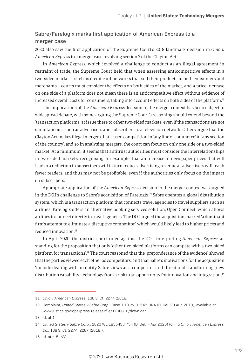#### Sabre/Farelogix marks first application of American Express to a merger case

2020 also saw the first application of the Supreme Court's 2018 landmark decision in *Ohio v American Express* to a merger case involving section 7 of the Clayton Act.

In *American Express*, which involved a challenge to conduct as an illegal agreement in restraint of trade, the Supreme Court held that when assessing anticompetitive effects in a two-sided market – such as credit card networks that sell their products to both consumers and merchants – courts must consider the effects on both sides of the market, and a price increase on one side of a platform does not mean there is an anticompetitive effect without evidence of increased overall costs for consumers, taking into account effects on both sides of the platform.<sup>11</sup>

The implications of the *American Express* decision in the merger context has been subject to widespread debate, with some arguing the Supreme Court's reasoning should extend beyond the 'transaction platforms' at issue there to other two-sided markets, even if the transactions are not simultaneous, such as advertisers and subscribers to a television network. Others argue that the Clayton Act makes illegal mergers that lessen competition in 'any line of commerce' in 'any section of the country', and so in analysing mergers, the court can focus on only one side or a two-sided market. At a minimum, it seems that antitrust authorities must consider the interrelationships in two-sided markets, recognising, for example, that an increase in newspaper prices that will lead to a reduction in subscribers will in turn reduce advertising revenue as advertisers will reach fewer readers, and thus may not be profitable, even if the authorities only focus on the impact on subscribers.

Appropriate application of the *American Express* decision in the merger context was argued in the DOJ's challenge to Sabre's acquisition of Farelogix.12 Sabre operates a global distribution system, which is a transaction platform that connects travel agencies to travel suppliers such as airlines. Farelogix offers an alternative booking services solution, Open Connect, which allows airlines to connect directly to travel agencies. The DOJ argued the acquisition marked 'a dominant firm's attempt to eliminate a disruptive competitor', which would likely lead to higher prices and reduced innovation.13

In April 2020, the district court ruled against the DOJ, interpreting *American Express* as standing for the proposition that only 'other two-sided platforms can compete with a two-sided platform for transactions'.14 The court reasoned that the 'preponderance of the evidence' showed that the parties viewed each other as competitors, and that Sabre's motivations for the acquisition 'include dealing with an entity Sabre views as a competitor and threat and transforming [new distribution capability] technology from a risk to an opportunity for innovation and integration'.<sup>15</sup>

<sup>11</sup> *Ohio v American Express*, 138 S. Ct. 2274 (2018).

<sup>12</sup> Complaint, *United States v Sabre Corp.*, Case 1:19-cv-01548-UNA (D. Del. 20 Aug 2019), available at www.justice.gov/opa/press-release/file/1196816/download.

<sup>13</sup> id. at 1.

<sup>14</sup> *United States v Sabre Corp.*, 2020 WL 1855433, \*34 (D. Del. 7 Apr 2020) (citing *Ohio v American Express Co.*, 138 S. Ct. 2274, 2287 (2018)).

<sup>15</sup> id. at \*15, \*28.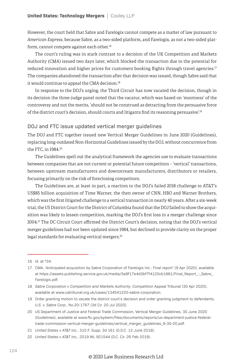However, the court held that Sabre and Farelogix cannot compete as a matter of law pursuant to *American Express*, because Sabre, as a two-sided platform, and Farelogix, as not a two-sided platform, cannot compete against each other.<sup>16</sup>

The court's ruling was in stark contrast to a decision of the UK Competition and Markets Authority (CMA) issued two days later, which blocked the transaction due to the potential for reduced innovation and higher prices for customers booking flights through travel agencies.<sup>17</sup> The companies abandoned the transaction after that decision was issued, though Sabre said that it would continue to appeal the CMA decision.<sup>18</sup>

In response to the DOJ's urging, the Third Circuit has now vacated the decision, though in its decision the three-judge panel noted that the vacatur, which was based on 'mootness' of the controversy and not the merits, 'should not be construed as detracting from the persuasive force of the district court's decision, should courts and litigants find its reasoning persuasive'.19

#### DOJ and FTC issue updated vertical merger guidelines

The DOJ and FTC together issued new Vertical Merger Guidelines in June 2020 (Guidelines), replacing long-outdated Non-Horizontal Guidelines issued by the DOJ, without concurrence from the FTC, in 1984.20

The Guidelines spell out the analytical framework the agencies use to evaluate transactions between companies that are not current or potential future competitors – 'vertical' transactions, between upstream manufacturers and downstream manufacturers, distributors or retailers, focusing primarily on the risk of foreclosing competitors.

The Guidelines are, at least in part, a reaction to the DOJ's failed 2018 challenge to AT&T's US\$85 billion acquisition of Time Warner, the then owner of CNN, HBO and Warner Brothers, which was the first litigated challenge to a vertical transaction in nearly 40 years. After a six-week trial, the US District Court for the District of Columbia found that the DOJ failed to show the acquisition was likely to lessen competition, marking the DOJ's first loss in a merger challenge since 2004.21 The DC Circuit Court affirmed the District Court's decision, noting that the DOJ's vertical merger guidelines had not been updated since 1984, but declined to provide clarity on the proper legal standards for evaluating vertical mergers.<sup>22</sup>

<sup>16</sup> id. at \*34.

<sup>17</sup> CMA, 'Anticipated acquisition by Sabre Corporation of Farelogix Inc.: Final report' (9 Apr 2020), available at https://assets.publishing.service.gov.uk/media/5e8f17e4d3bf7f4120cb1881/Final\_Report\_-\_Sabre\_ Farelogix.pdf.

<sup>18</sup> *Sabre Corporation v Competition and Markets Authority*, Competition Appeal Tribunal (30 Apr 2020), available at www.catribunal.org.uk/cases/134541220-sabre-corporation.

<sup>19</sup> Order granting motion to vacate the district court's decision and order granting judgment to defendants, *U.S. v. Sabre Corp.*, No.20-1767 (3d Cir. 20 Jul 2020).

<sup>20</sup> US Department of Justice and Federal Trade Commission, Vertical Merger Guidelines, 30 June 2020 (Guidelines), available at www.ftc.gov/system/files/documents/reports/us-department-justice-federaltrade-commission-vertical-merger-guidelines/vertical\_merger\_guidelines\_6-30-20.pdf.

<sup>21</sup> *United States v AT&T Inc.*, 310 F. Supp. 3d 161 (D.D.C. 12 June 2018).

<sup>22</sup> *United States v AT&T Inc.*, 2019 WL 921544 (D.C. Cir. 26 Feb 2019).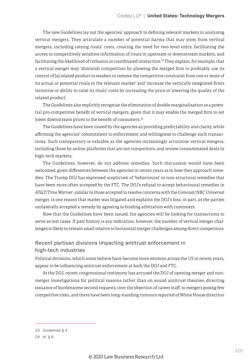The new Guidelines lay out the agencies' approach to defining relevant markets in analysing vertical mergers. They articulate a number of potential harms that may stem from vertical mergers, including raising rivals' costs, creating the need for two-level entry, facilitating the access to competitively sensitive information of rivals in upstream or downstream markets, and facilitating the likelihood of collusion or coordinated interaction.<sup>23</sup> They explain, for example, that a vertical merger may 'diminish competition by allowing the merged firm to profitably use its control of [a] related product to weaken or remove the competitive constraint from one or more of its actual or potential rivals in the relevant market' and 'increase the vertically integrated firm's incentive or ability to raise its rivals' costs by increasing the price or lowering the quality of the related product'.

The Guidelines also explicitly recognise the elimination of double marginalisation as a potential pro-competitive benefit of vertical mergers, given that it may enable the merged firm to set lower downstream prices to the benefit of consumers.<sup>24</sup>

The Guidelines have been touted by the agencies as providing predictability and clarity, while affirming the agencies' commitment to enforcement and willingness to challenge such transactions. Such transparency is valuable as the agencies increasingly scrutinise vertical mergers, including those by online platforms that are not competitors, and review consummated deals in high-tech markets.

The Guidelines, however, do not address remedies. Such discussion would have been welcomed, given differences between the agencies in recent years as to how they approach remedies. The Trump DOJ has expressed scepticism of 'behavioural' or non-structural remedies that have been more often accepted by the FTC. The DOJ's refusal to accept behavioural remedies in *AT&T/Time Warner*, similar to those accepted to resolve concerns with the *Comcast/NBC Universal* merger, is one reason that matter was litigated and explains the DOJ's loss, in part, as the parties unilaterally accepted a remedy by agreeing to binding arbitration with customers.

Now that the Guidelines have been issued, the agencies will be looking for transactions to serve as test cases. If past history is any indication, however, the number of vertical merger challenges is likely to remain small relative to horizontal merger challenges among direct competitors.

#### Recent partisan divisions impacting antitrust enforcement in high-tech industries

Political divisions, which some believe have become more extreme across the US in recent years, appear to be influencing antitrust enforcement at both the DOJ and FTC.

At the DOJ, recent congressional testimony has accused the DOJ of opening merger and nonmerger investigations for political reasons rather than on sound antitrust theories, directing issuance of burdensome second requests, over the objection of career staff, to mergers posing few competitive risks, and there have been long-standing rumours reported of White House direction

<sup>23</sup> Guidelines § 4.

<sup>24</sup> id. § 6.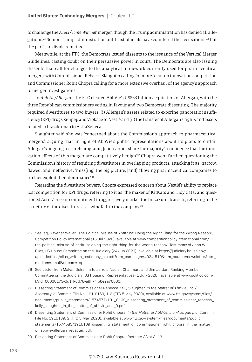to challenge the *AT&T/Time Warner* merger, though the Trump administration has denied all allegations.<sup>25</sup> Senior Trump administration antitrust officials have countered the accusations, $^{26}$  but the partisan divide remains.

Meanwhile, at the FTC, the Democrats issued dissents to the issuance of the Vertical Merger Guidelines, casting doubt on their persuasive power in court. The Democrats are also issuing dissents that call for changes to the analytical framework currently used for pharmaceutical mergers, with Commissioner Rebecca Slaughter calling for more focus on innovation competition and Commissioner Rohit Chopra calling for a more extensive overhaul of the agency's approach to merger investigations.

In *AbbVie/Allergan*, the FTC cleared AbbVie's US\$63 billion acquisition of Allergan, with the three Republican commissioners voting in favour and two Democrats dissenting. The majority required divestitures to two buyers: (i) Allergan's assets related to exocrine pancreatic insufficiency (EPI) drugs Zenpep and Viokace to Nestlé and (ii) the transfer of Allergan's rights and assets related to brazikumab to AstraZeneca.

Slaughter said she was 'concerned about the Commission's approach to pharmaceutical mergers', arguing that 'in light of AbbVie's public representations about its plans to curtail Allergan's ongoing research programs, [she] cannot share the majority's confidence that the innovation effects of this merger are competitively benign'.<sup>27</sup> Chopra went further, questioning the Commission's history of requiring divestitures in overlapping products, attacking it as 'narrow, flawed, and ineffective', 'miss[ing] the big picture, [and] allowing pharmaceutical companies to further exploit their dominance'.<sup>28</sup>

Regarding the divestiture buyers, Chopra expressed concern about Nestlé's ability to replace lost competition for EPI drugs, referring to it as 'the maker of KitKats and Tidy Cats', and questioned AstraZeneca's commitment to aggressively market the brazikumab assets, referring to the structure of the divestiture as a 'windfall' to the company.<sup>29</sup>

<sup>25</sup> See, eg, S Weber Waller, 'The Political Misuse of Antitrust: Doing the Right Thing for the Wrong Reason', Competition Policy International (16 Jul 2020), available at www.competitionpolicyinternational.com/ the-political-misuse-of-antitrust-doing-the-right-thing-for-the-wrong-reason/; Testimony of John W. Elias, US House Committee on the Judiciary (24 Jun 2020), available at https://judiciary.house.gov/ uploadedfiles/elias\_written\_testimony\_hjc.pdf?utm\_campaign=4024-519&utm\_source=newsletter&utm\_ medium=email&stream=top.

<sup>26</sup> See Letter from Makan Delrahim to Jerrold Nadler, Chairman, and Jim Jordan, Ranking Member, Committee on the Judiciary, US House of Representatives (1 July 2020), available at www.politico.com/ f/?id=00000173-0d14-dd78-a9ff-7fb6e2a70000.

<sup>27</sup> Dissenting Statement of Commissioner Rebecca Kelly Slaughter, *In the Matter of AbbVie, Inc./ Allergan plc*, Comm'n File No. 191-0169, 1-2 (FTC 5 May 2020), available at www.ftc.gov/system/files/ documents/public\_statements/1574577/191\_0169\_dissenting\_statement\_of\_commissioner\_rebecca\_ kelly\_slaughter\_in\_the\_matter\_of\_abbvie\_and\_0.pdf.

<sup>28</sup> Dissenting Statement of Commissioner Rohit Chopra, *In the Matter of AbbVie, Inc./Allergan plc*, Comm'n File No. 1910169, 2 (FTC 5 May 2020), available at www.ftc.gov/system/files/documents/public\_ statements/1574583/1910169\_dissenting\_statement\_of\_commissioner\_rohit\_chopra\_in\_the\_matter\_ of\_abbvie-allergan\_redacted.pdf.

<sup>29</sup> Dissenting Statement of Commissioner Rohit Chopra, footnote 28 at 3, 13.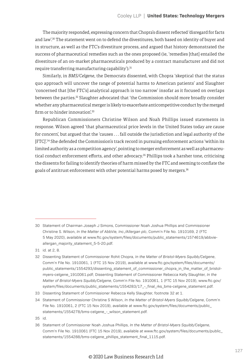The majority responded, expressing concern that Chopra's dissent reflected 'disregard for facts and law'.<sup>30</sup> The statement went on to defend the divestitures, both based on identity of buyer and in structure, as well as the FTC's divestiture process, and argued that history demonstrated the success of pharmaceutical remedies such as the ones proposed (ie, 'remedies [that] entailed the divestiture of an on-market pharmaceuticals produced by a contract manufacturer and did not require transferring manufacturing capability').<sup>31</sup>

Similarly, in *BMS/Celgene*, the Democrats dissented, with Chopra 'skeptical that the status quo approach will uncover the range of potential harms to American patients' and Slaughter 'concerned that [the FTC's] analytical approach is too narrow' insofar as it focused on overlaps between the parties.32 Slaughter advocated that 'the Commission should more broadly consider whether any pharmaceutical merger is likely to exacerbate anticompetitive conduct by the merged firm or to hinder innovation'.<sup>33</sup>

Republican Commissioners Christine Wilson and Noah Phillips issued statements in response. Wilson agreed 'that pharmaceutical price levels in the United States today are cause for concern', but argued that the 'causes . . . fall outside the jurisdiction and legal authority of the [FTC]'.34 She defended the Commission's track record in pursuing enforcement actions 'within its limited authority as a competition agency', pointing to merger enforcement as well as pharmaceutical conduct enforcement efforts, and other advocacy.<sup>35</sup> Phillips took a harsher tone, criticising the dissents for failing to identify theories of harm missed by the FTC and seeming to conflate the goals of antitrust enforcement with other potential harms posed by mergers.<sup>36</sup>

<sup>30</sup> Statement of Chairman Joseph J Simons, Commissioner Noah Joshua Phillips and Commissioner Christine S. Wilson, *In the Matter of AbbVie, Inc./Allergan plc*, Comm'n File No. 1910169, 2 (FTC 5 May 2020), available at www.ftc.gov/system/files/documents/public\_statements/1574619/abbvieallergan\_majority\_statement\_5-5-20.pdf.

<sup>31</sup> id. at 2, 8.

<sup>32</sup> Dissenting Statement of Commissioner Rohit Chopra, *In the Matter of Bristol-Myers Squibb/Celgene*, Comm'n File No. 1910061, 1 (FTC 15 Nov 2019), available at www.ftc.gov/system/files/documents/ public\_statements/1554293/dissenting\_statement\_of\_commissioner\_chopra\_in\_the\_matter\_of\_bristolmyers-celgene\_1910061.pdf; Dissenting Statement of Commissioner Rebecca Kelly Slaughter, *In the Matter of Bristol-Myers Squibb/Celgene*, Comm'n File No. 1910061, 1 (FTC 15 Nov 2019), www.ftc.gov/ system/files/documents/public\_statements/1554283/17 - final\_rks\_bms-celgene\_statement.pdf.

<sup>33</sup> Dissenting Statement of Commissioner Rebecca Kelly Slaughter, footnote 32 at 1.

<sup>34</sup> Statement of Commissioner Christine S Wilson, *In the Matter of Bristol-Myers Squibb/Celgene*, Comm'n File No. 1910061, 2 (FTC 15 Nov 2019), available at www.ftc.gov/system/files/documents/public\_ statements/1554278/bms-celgene\_-\_wilson\_statement.pdf.

<sup>35</sup> id.

<sup>36</sup> Statement of Commissioner Noah Joshua Phillips, *In the Matter of Bristol-Myers Squibb/Celgene*, Comm'n File No. 1910061 (FTC 15 Nov 2019), available at www.ftc.gov/system/files/documents/public\_ statements/1554288/bms-celgene\_phillips\_statement\_final\_1115.pdf.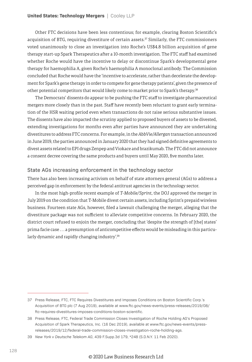Other FTC decisions have been less contentious; for example, clearing Boston Scientific's acquisition of BTG, requiring divestiture of certain assets.<sup>37</sup> Similarly, the FTC commissioners voted unanimously to close an investigation into Roche's US\$4.8 billion acquisition of gene therapy start-up Spark Therapeutics after a 10-month investigation. The FTC staff had examined whether Roche would have the incentive to delay or discontinue Spark's developmental gene therapy for haemophilia A, given Roche's haemophilia A monoclonal antibody. The Commission concluded that Roche would have the 'incentive to accelerate, rather than decelerate the development for Spark's gene therapy in order to compete for gene therapy patients', given the presence of other potential competitors that would likely come to market prior to Spark's therapy.<sup>38</sup>

The Democrats' dissents do appear to be pushing the FTC staff to investigate pharmaceutical mergers more closely than in the past. Staff have recently been reluctant to grant early termination of the HSR waiting period even when transactions do not raise serious substantive issues. The dissents have also impacted the scrutiny applied to proposed buyers of assets to be divested, extending investigations for months even after parties have announced they are undertaking divestitures to address FTC concerns. For example, in the *AbbVie/Allergan* transaction announced in June 2019, the parties announced in January 2020 that they had signed definitive agreements to divest assets related to EPI drugs Zenpep and Viokace and brazikumab. The FTC did not announce a consent decree covering the same products and buyers until May 2020, five months later.

#### State AGs increasing enforcement in the technology sector

There has also been increasing activism on behalf of state attorneys general (AGs) to address a perceived gap in enforcement by the federal antitrust agencies in the technology sector.

In the most high-profile recent example of *T-Mobile/Sprint*, the DOJ approved the merger in July 2019 on the condition that T-Mobile divest certain assets, including Sprint's prepaid wireless business. Fourteen state AGs, however, filed a lawsuit challenging the merger, alleging that the divestiture package was not sufficient to alleviate competitive concerns. In February 2020, the district court refused to enjoin the merger, concluding that 'despite the strength of [the] states' prima facie case . . . a presumption of anticompetitive effects would be misleading in this particularly dynamic and rapidly changing industry'.<sup>39</sup>

<sup>37</sup> Press Release, FTC, FTC Requires Divestitures and Imposes Conditions on Boston Scientific Corp.'s Acquisition of BTG plc (7 Aug 2019), available at www.ftc.gov/news-events/press-releases/2019/08/ ftc-requires-divestitures-imposes-conditions-boston-scientific.

<sup>38</sup> Press Release, FTC, Federal Trade Commission Closes Investigation of Roche Holding AG's Proposed Acquisition of Spark Therapeutics, Inc. (16 Dec 2019), available at www.ftc.gov/news-events/pressreleases/2019/12/federal-trade-commission-closes-investigation-roche-holding-ags.

<sup>39</sup> *New York v Deutsche Telekom AG*, 439 F.Supp.3d 179, \*248 (S.D.N.Y. 11 Feb 2020).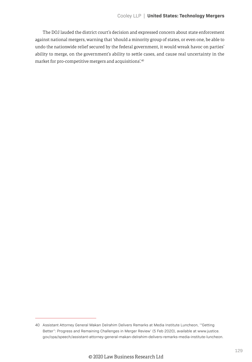The DOJ lauded the district court's decision and expressed concern about state enforcement against national mergers, warning that 'should a minority group of states, or even one, be able to undo the nationwide relief secured by the federal government, it would wreak havoc on parties' ability to merge, on the government's ability to settle cases, and cause real uncertainty in the market for pro-competitive mergers and acquisitions'.40

<sup>40</sup> Assistant Attorney General Makan Delrahim Delivers Remarks at Media Institute Luncheon, '"Getting Better": Progress and Remaining Challenges in Merger Review' (5 Feb 2020), available at www.justice. gov/opa/speech/assistant-attorney-general-makan-delrahim-delivers-remarks-media-institute-luncheon.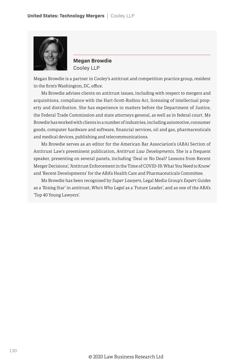

**Megan Browdie** Cooley LLP

Megan Browdie is a partner in Cooley's antitrust and competition practice group, resident in the firm's Washington, DC, office.

Ms Browdie advises clients on antitrust issues, including with respect to mergers and acquisitions, compliance with the Hart-Scott-Rodino Act, licensing of intellectual property and distribution. She has experience in matters before the Department of Justice, the Federal Trade Commission and state attorneys general, as well as in federal court. Ms Browdie has worked with clients in a number of industries, including automotive, consumer goods, computer hardware and software, financial services, oil and gas, pharmaceuticals and medical devices, publishing and telecommunications.

Ms Browdie serves as an editor for the American Bar Association's (ABA) Section of Antitrust Law's preeminent publication, *Antitrust Law Developments*. She is a frequent speaker, presenting on several panels, including 'Deal or No Deal? Lessons from Recent Merger Decisions', 'Antitrust Enforcement in the Time of COVID-19: What You Need to Know' and 'Recent Developments' for the ABA's Health Care and Pharmaceuticals Committee.

Ms Browdie has been recognised by *Super Lawyers*, Legal Media Group's *Expert Guides* as a 'Rising Star' in antitrust, *Who's Who Legal* as a 'Future Leader', and as one of the ABA's 'Top 40 Young Lawyers'.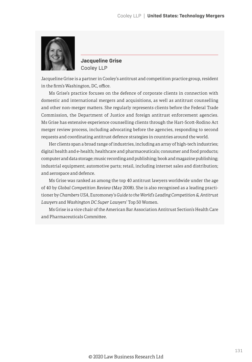

**Jacqueline Grise** Cooley LLP

Jacqueline Grise is a partner in Cooley's antitrust and competition practice group, resident in the firm's Washington, DC, office.

Ms Grise's practice focuses on the defence of corporate clients in connection with domestic and international mergers and acquisitions, as well as antitrust counselling and other non-merger matters. She regularly represents clients before the Federal Trade Commission, the Department of Justice and foreign antitrust enforcement agencies. Ms Grise has extensive experience counselling clients through the Hart-Scott-Rodino Act merger review process, including advocating before the agencies, responding to second requests and coordinating antitrust defence strategies in countries around the world.

Her clients span a broad range of industries, including an array of high-tech industries; digital health and e-health; healthcare and pharmaceuticals; consumer and food products; computer and data storage; music recording and publishing; book and magazine publishing; industrial equipment; automotive parts; retail, including internet sales and distribution; and aerospace and defence.

Ms Grise was ranked as among the top 40 antitrust lawyers worldwide under the age of 40 by *Global Competition Review* (May 2008). She is also recognised as a leading practitioner by *Chambers USA*, Euromoney's *Guide to the World's Leading Competition & Antitrust Lawyers* and *Washington DC Super Lawyers*' Top 50 Women.

Ms Grise is a vice chair of the American Bar Association Antitrust Section's Health Care and Pharmaceuticals Committee.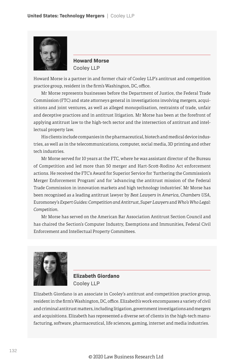

**Howard Morse** Cooley LLP

Howard Morse is a partner in and former chair of Cooley LLP's antitrust and competition practice group, resident in the firm's Washington, DC, office.

Mr Morse represents businesses before the Department of Justice, the Federal Trade Commission (FTC) and state attorneys general in investigations involving mergers, acquisitions and joint ventures, as well as alleged monopolisation, restraints of trade, unfair and deceptive practices and in antitrust litigation. Mr Morse has been at the forefront of applying antitrust law to the high-tech sector and the intersection of antitrust and intellectual property law.

His clients include companies in the pharmaceutical, biotech and medical device industries, as well as in the telecommunications, computer, social media, 3D printing and other tech industries.

Mr Morse served for 10 years at the FTC, where he was assistant director of the Bureau of Competition and led more than 50 merger and Hart-Scott-Rodino Act enforcement actions. He received the FTC's Award for Superior Service for 'furthering the Commission's Merger Enforcement Program' and for 'advancing the antitrust mission of the Federal Trade Commission in innovation markets and high technology industries'. Mr Morse has been recognised as a leading antitrust lawyer by *Best Lawyers in America*, *Chambers USA*, Euromoney's *Expert Guides: Competition and Antitrust*, *Super Lawyers* and *Who's Who Legal: Competition*.

Mr Morse has served on the American Bar Association Antitrust Section Council and has chaired the Section's Computer Industry, Exemptions and Immunities, Federal Civil Enforcement and Intellectual Property Committees.



**Elizabeth Giordano** Cooley LLP

Elizabeth Giordano is an associate in Cooley's antitrust and competition practice group, resident in the firm's Washington, DC, office. Elizabeth's work encompasses a variety of civil and criminal antitrust matters, including litigation, government investigations and mergers and acquisitions. Elizabeth has represented a diverse set of clients in the high-tech manufacturing, software, pharmaceutical, life sciences, gaming, internet and media industries.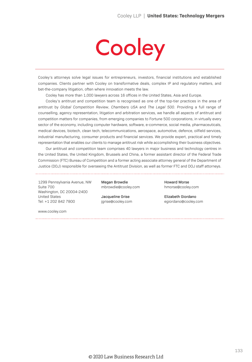# Cooley

Cooley's attorneys solve legal issues for entrepreneurs, investors, financial institutions and established companies. Clients partner with Cooley on transformative deals, complex IP and regulatory matters, and bet-the-company litigation, often where innovation meets the law.

Cooley has more than 1,000 lawyers across 16 offices in the United States, Asia and Europe.

Cooley's antitrust and competition team is recognised as one of the top-tier practices in the area of antitrust by *Global Competition Review*, *Chambers USA* and *The Legal 500*. Providing a full range of counselling, agency representation, litigation and arbitration services, we handle all aspects of antitrust and competition matters for companies, from emerging companies to Fortune 500 corporations, in virtually every sector of the economy, including computer hardware, software, e-commerce, social media, pharmaceuticals, medical devices, biotech, clean tech, telecommunications, aerospace, automotive, defence, oilfield services, industrial manufacturing, consumer products and financial services. We provide expert, practical and timely representation that enables our clients to manage antitrust risk while accomplishing their business objectives.

Our antitrust and competition team comprises 40 lawyers in major business and technology centres in the United States, the United Kingdom, Brussels and China, a former assistant director of the Federal Trade Commission (FTC) Bureau of Competition and a former acting associate attorney general of the Department of Justice (DOJ) responsible for overseeing the Antitrust Division, as well as former FTC and DOJ staff attorneys.

1299 Pennsylvania Avenue, NW Suite 700 Washington, DC 20004-2400 United States Tel: +1 202 842 7800

Megan Browdie mbrowdie@cooley.com

Jacqueline Grise jgrise@cooley.com Howard Morse hmorse@cooley.com

Elizabeth Giordano egiordano@cooley.com

www.cooley.com